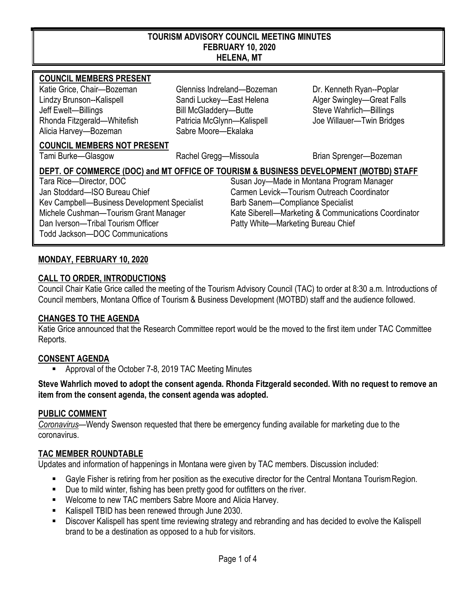#### **TOURISM ADVISORY COUNCIL MEETING MINUTES FEBRUARY 10, 2020 HELENA, MT**

#### **COUNCIL MEMBERS PRESENT**

Lindzy Brunson--Kalispell Sandi Luckey—East Helena Alger Swingley—Great Falls Jeff Ewelt—Billings Bill McGladdery—Butte Steve Wahrlich—Billings Rhonda Fitzgerald—Whitefish Patricia McGlynn—Kalispell Joe Willauer—Twin Bridges Alicia Harvey—Bozeman Sabre Moore—Ekalaka

Katie Grice, Chair—Bozeman Glenniss Indreland—Bozeman Dr. Kenneth Ryan--Poplar

#### **COUNCIL MEMBERS NOT PRESENT**

Tami Burke—Glasgow **Rachel Gregg—Missoula** Brian Sprenger—Bozeman

### **DEPT. OF COMMERCE (DOC) and MT OFFICE OF TOURISM & BUSINESS DEVELOPMENT (MOTBD) STAFF** Tara Rice—Director, DOC Susan Joy—Made in Montana Program Manager Jan Stoddard—ISO Bureau Chief Carmen Levick—Tourism Outreach Coordinator Kev Campbell—Business Development Specialist Barb Sanem—Compliance Specialist Michele Cushman—Tourism Grant Manager Kate Siberell—Marketing & Communications Coordinator Dan Iverson—Tribal Tourism Officer Patty White—Marketing Bureau Chief Todd Jackson—DOC Communications

### **MONDAY, FEBRUARY 10, 2020**

### **CALL TO ORDER, INTRODUCTIONS**

Council Chair Katie Grice called the meeting of the Tourism Advisory Council (TAC) to order at 8:30 a.m. Introductions of Council members, Montana Office of Tourism & Business Development (MOTBD) staff and the audience followed.

#### **CHANGES TO THE AGENDA**

Katie Grice announced that the Research Committee report would be the moved to the first item under TAC Committee Reports.

# **CONSENT AGENDA**

Approval of the October 7-8, 2019 TAC Meeting Minutes

**Steve Wahrlich moved to adopt the consent agenda. Rhonda Fitzgerald seconded. With no request to remove an item from the consent agenda, the consent agenda was adopted.**

# **PUBLIC COMMENT**

*Coronavirus*—Wendy Swenson requested that there be emergency funding available for marketing due to the coronavirus.

# **TAC MEMBER ROUNDTABLE**

Updates and information of happenings in Montana were given by TAC members. Discussion included:

- Gayle Fisher is retiring from her position as the executive director for the Central Montana TourismRegion.
- **Due to mild winter, fishing has been pretty good for outfitters on the river.**
- Welcome to new TAC members Sabre Moore and Alicia Harvey.
- Kalispell TBID has been renewed through June 2030.
- Discover Kalispell has spent time reviewing strategy and rebranding and has decided to evolve the Kalispell brand to be a destination as opposed to a hub for visitors.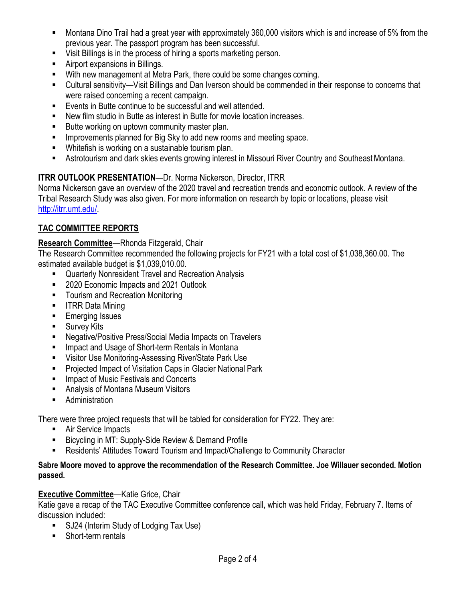- Montana Dino Trail had a great year with approximately 360,000 visitors which is and increase of 5% from the previous year. The passport program has been successful.
- Visit Billings is in the process of hiring a sports marketing person.
- Airport expansions in Billings.
- With new management at Metra Park, there could be some changes coming.
- Cultural sensitivity—Visit Billings and Dan Iverson should be commended in their response to concerns that were raised concerning a recent campaign.
- Events in Butte continue to be successful and well attended.
- New film studio in Butte as interest in Butte for movie location increases.
- Butte working on uptown community master plan.
- **IMPROVEMENTS** Improvements planned for Big Sky to add new rooms and meeting space.
- Whitefish is working on a sustainable tourism plan.
- Astrotourism and dark skies events growing interest in Missouri River Country and SoutheastMontana.

# **ITRR OUTLOOK PRESENTATION**—Dr. Norma Nickerson, Director, ITRR

Norma Nickerson gave an overview of the 2020 travel and recreation trends and economic outlook. A review of the Tribal Research Study was also given. For more information on research by topic or locations, please visit [http://itrr.umt.edu/.](http://itrr.umt.edu/)

# **TAC COMMITTEE REPORTS**

# **Research Committee**—Rhonda Fitzgerald, Chair

The Research Committee recommended the following projects for FY21 with a total cost of \$1,038,360.00. The estimated available budget is \$1,039,010.00.

- Quarterly Nonresident Travel and Recreation Analysis
- 2020 Economic Impacts and 2021 Outlook
- Tourism and Recreation Monitoring
- **IFRR Data Mining**
- **Emerging Issues**
- **Survey Kits**
- Negative/Positive Press/Social Media Impacts on Travelers
- Impact and Usage of Short-term Rentals in Montana
- Visitor Use Monitoring-Assessing River/State Park Use
- **Projected Impact of Visitation Caps in Glacier National Park**
- **IMPACT OF MUSIC Festivals and Concerts**
- **Analysis of Montana Museum Visitors**
- **Administration**

There were three project requests that will be tabled for consideration for FY22. They are:

- Air Service Impacts
- Bicycling in MT: Supply-Side Review & Demand Profile
- Residents' Attitudes Toward Tourism and Impact/Challenge to Community Character

### **Sabre Moore moved to approve the recommendation of the Research Committee. Joe Willauer seconded. Motion passed.**

# **Executive Committee**—Katie Grice, Chair

Katie gave a recap of the TAC Executive Committee conference call, which was held Friday, February 7. Items of discussion included:

- SJ24 (Interim Study of Lodging Tax Use)
- Short-term rentals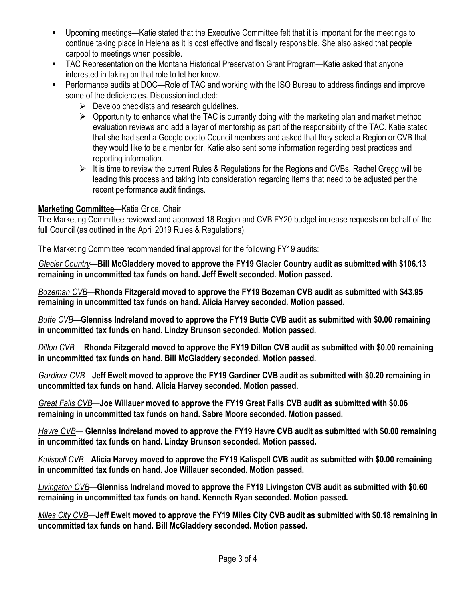- Upcoming meetings—Katie stated that the Executive Committee felt that it is important for the meetings to continue taking place in Helena as it is cost effective and fiscally responsible. She also asked that people carpool to meetings when possible.
- TAC Representation on the Montana Historical Preservation Grant Program—Katie asked that anyone interested in taking on that role to let her know.
- Performance audits at DOC—Role of TAC and working with the ISO Bureau to address findings and improve some of the deficiencies. Discussion included:
	- $\triangleright$  Develop checklists and research quidelines.
	- $\triangleright$  Opportunity to enhance what the TAC is currently doing with the marketing plan and market method evaluation reviews and add a layer of mentorship as part of the responsibility of the TAC. Katie stated that she had sent a Google doc to Council members and asked that they select a Region or CVB that they would like to be a mentor for. Katie also sent some information regarding best practices and reporting information.
	- $\triangleright$  It is time to review the current Rules & Regulations for the Regions and CVBs. Rachel Gregg will be leading this process and taking into consideration regarding items that need to be adjusted per the recent performance audit findings.

# **Marketing Committee**—Katie Grice, Chair

The Marketing Committee reviewed and approved 18 Region and CVB FY20 budget increase requests on behalf of the full Council (as outlined in the April 2019 Rules & Regulations).

The Marketing Committee recommended final approval for the following FY19 audits:

*Glacier Country*—**Bill McGladdery moved to approve the FY19 Glacier Country audit as submitted with \$106.13 remaining in uncommitted tax funds on hand. Jeff Ewelt seconded. Motion passed.**

*Bozeman CVB*—**Rhonda Fitzgerald moved to approve the FY19 Bozeman CVB audit as submitted with \$43.95 remaining in uncommitted tax funds on hand. Alicia Harvey seconded. Motion passed.**

*Butte CVB*—**Glenniss Indreland moved to approve the FY19 Butte CVB audit as submitted with \$0.00 remaining in uncommitted tax funds on hand. Lindzy Brunson seconded. Motion passed.**

*Dillon CVB*— **Rhonda Fitzgerald moved to approve the FY19 Dillon CVB audit as submitted with \$0.00 remaining in uncommitted tax funds on hand. Bill McGladdery seconded. Motion passed.**

*Gardiner CVB*—**Jeff Ewelt moved to approve the FY19 Gardiner CVB audit as submitted with \$0.20 remaining in uncommitted tax funds on hand. Alicia Harvey seconded. Motion passed.**

*Great Falls CVB*—**Joe Willauer moved to approve the FY19 Great Falls CVB audit as submitted with \$0.06 remaining in uncommitted tax funds on hand. Sabre Moore seconded. Motion passed.**

*Havre CVB*— **Glenniss Indreland moved to approve the FY19 Havre CVB audit as submitted with \$0.00 remaining in uncommitted tax funds on hand. Lindzy Brunson seconded. Motion passed.**

*Kalispell CVB*—**Alicia Harvey moved to approve the FY19 Kalispell CVB audit as submitted with \$0.00 remaining in uncommitted tax funds on hand. Joe Willauer seconded. Motion passed.**

*Livingston CVB*—**Glenniss Indreland moved to approve the FY19 Livingston CVB audit as submitted with \$0.60 remaining in uncommitted tax funds on hand. Kenneth Ryan seconded. Motion passed.**

*Miles City CVB*—**Jeff Ewelt moved to approve the FY19 Miles City CVB audit as submitted with \$0.18 remaining in uncommitted tax funds on hand. Bill McGladdery seconded. Motion passed.**